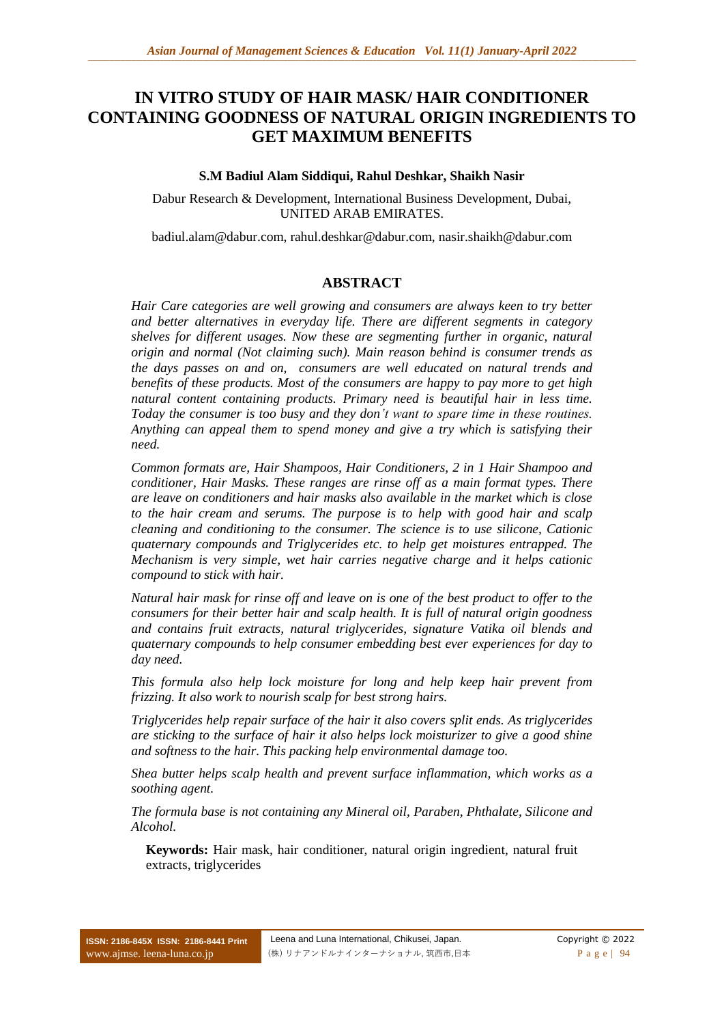# **IN VITRO STUDY OF HAIR MASK/ HAIR CONDITIONER CONTAINING GOODNESS OF NATURAL ORIGIN INGREDIENTS TO GET MAXIMUM BENEFITS**

#### **S.M Badiul Alam Siddiqui, Rahul Deshkar, Shaikh Nasir**

Dabur Research & Development, International Business Development, Dubai, UNITED ARAB EMIRATES.

[badiul.alam@dabur.com,](mailto:badiul.alam@dabur.com) [rahul.deshkar@dabur.com,](mailto:Rahul.Deshkar@Dabur.com) nasir.shaikh@dabur.com

## **ABSTRACT**

*Hair Care categories are well growing and consumers are always keen to try better and better alternatives in everyday life. There are different segments in category shelves for different usages. Now these are segmenting further in organic, natural origin and normal (Not claiming such). Main reason behind is consumer trends as the days passes on and on, consumers are well educated on natural trends and benefits of these products. Most of the consumers are happy to pay more to get high natural content containing products. Primary need is beautiful hair in less time. Today the consumer is too busy and they don't want to spare time in these routines. Anything can appeal them to spend money and give a try which is satisfying their need.* 

*Common formats are, Hair Shampoos, Hair Conditioners, 2 in 1 Hair Shampoo and conditioner, Hair Masks. These ranges are rinse off as a main format types. There are leave on conditioners and hair masks also available in the market which is close to the hair cream and serums. The purpose is to help with good hair and scalp cleaning and conditioning to the consumer. The science is to use silicone, Cationic quaternary compounds and Triglycerides etc. to help get moistures entrapped. The Mechanism is very simple, wet hair carries negative charge and it helps cationic compound to stick with hair.*

*Natural hair mask for rinse off and leave on is one of the best product to offer to the consumers for their better hair and scalp health. It is full of natural origin goodness and contains fruit extracts, natural triglycerides, signature Vatika oil blends and quaternary compounds to help consumer embedding best ever experiences for day to day need.*

*This formula also help lock moisture for long and help keep hair prevent from frizzing. It also work to nourish scalp for best strong hairs.*

*Triglycerides help repair surface of the hair it also covers split ends. As triglycerides are sticking to the surface of hair it also helps lock moisturizer to give a good shine and softness to the hair. This packing help environmental damage too.*

*Shea butter helps scalp health and prevent surface inflammation, which works as a soothing agent.*

*The formula base is not containing any Mineral oil, Paraben, Phthalate, Silicone and Alcohol.*

**Keywords:** Hair mask, hair conditioner, natural origin ingredient, natural fruit extracts, triglycerides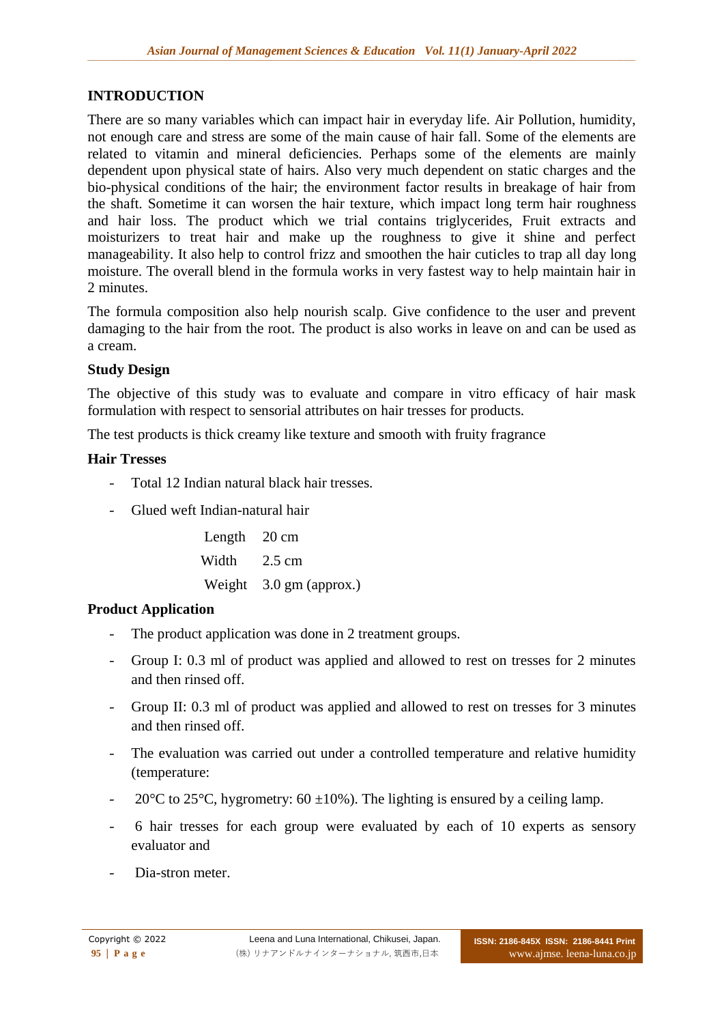## **INTRODUCTION**

There are so many variables which can impact hair in everyday life. Air Pollution, humidity, not enough care and stress are some of the main cause of hair fall. Some of the elements are related to vitamin and mineral deficiencies. Perhaps some of the elements are mainly dependent upon physical state of hairs. Also very much dependent on static charges and the bio-physical conditions of the hair; the environment factor results in breakage of hair from the shaft. Sometime it can worsen the hair texture, which impact long term hair roughness and hair loss. The product which we trial contains triglycerides, Fruit extracts and moisturizers to treat hair and make up the roughness to give it shine and perfect manageability. It also help to control frizz and smoothen the hair cuticles to trap all day long moisture. The overall blend in the formula works in very fastest way to help maintain hair in 2 minutes.

The formula composition also help nourish scalp. Give confidence to the user and prevent damaging to the hair from the root. The product is also works in leave on and can be used as a cream.

## **Study Design**

The objective of this study was to evaluate and compare in vitro efficacy of hair mask formulation with respect to sensorial attributes on hair tresses for products.

The test products is thick creamy like texture and smooth with fruity fragrance

## **Hair Tresses**

- Total 12 Indian natural black hair tresses.
- Glued weft Indian-natural hair

 Length 20 cm Width 2.5 cm Weight 3.0 gm (approx.)

## **Product Application**

- The product application was done in 2 treatment groups.
- Group I: 0.3 ml of product was applied and allowed to rest on tresses for 2 minutes and then rinsed off.
- Group II: 0.3 ml of product was applied and allowed to rest on tresses for 3 minutes and then rinsed off.
- The evaluation was carried out under a controlled temperature and relative humidity (temperature:
- 20 $\degree$ C to 25 $\degree$ C, hygrometry: 60  $\pm$ 10%). The lighting is ensured by a ceiling lamp.
- 6 hair tresses for each group were evaluated by each of 10 experts as sensory evaluator and
- Dia-stron meter.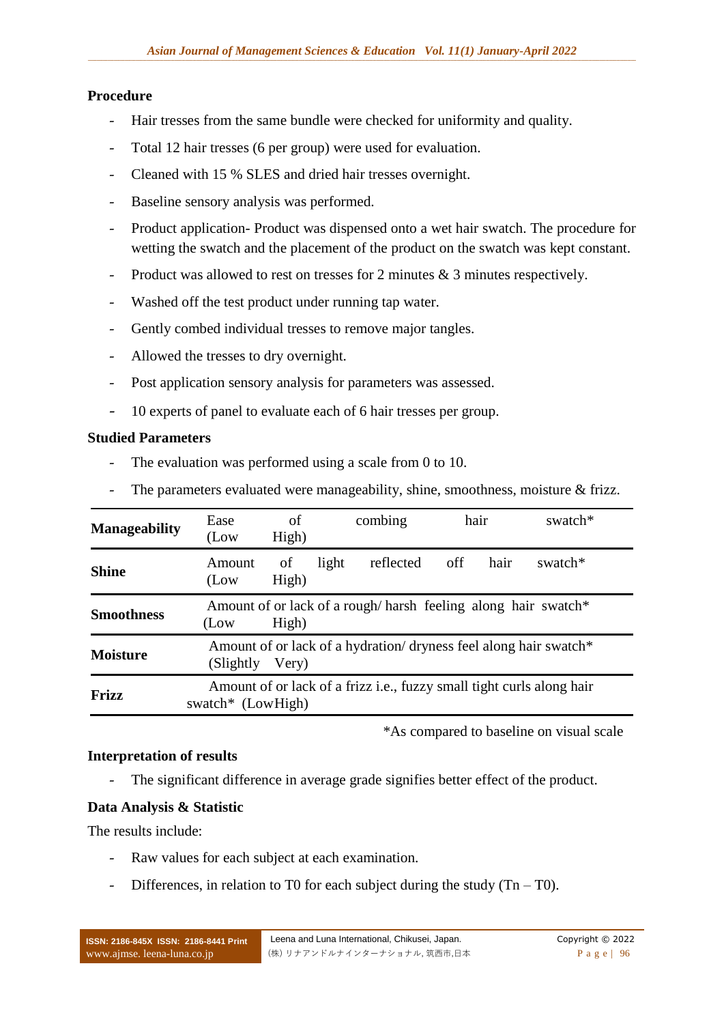### **Procedure**

- Hair tresses from the same bundle were checked for uniformity and quality.
- Total 12 hair tresses (6 per group) were used for evaluation.
- Cleaned with 15 % SLES and dried hair tresses overnight.
- Baseline sensory analysis was performed.
- Product application- Product was dispensed onto a wet hair swatch. The procedure for wetting the swatch and the placement of the product on the swatch was kept constant.
- Product was allowed to rest on tresses for 2 minutes  $\&$  3 minutes respectively.
- Washed off the test product under running tap water.
- Gently combed individual tresses to remove major tangles.
- Allowed the tresses to dry overnight.
- Post application sensory analysis for parameters was assessed.
- 10 experts of panel to evaluate each of 6 hair tresses per group.

#### **Studied Parameters**

- The evaluation was performed using a scale from 0 to 10.
- The parameters evaluated were manageability, shine, smoothness, moisture  $\&$  frizz.

| <b>Manageability</b> | Ease<br>(Low                                                                             | of<br>High) |       | combing                                                                       | hair |      | swatch*             |  |
|----------------------|------------------------------------------------------------------------------------------|-------------|-------|-------------------------------------------------------------------------------|------|------|---------------------|--|
| <b>Shine</b>         | Amount<br>(Low)                                                                          | of<br>High) | light | reflected                                                                     | off  | hair | swatch <sup>*</sup> |  |
| <b>Smoothness</b>    | (Low)                                                                                    | High)       |       | Amount of or lack of a rough/ harsh feeling along hair swatch*                |      |      |                     |  |
| <b>Moisture</b>      | Amount of or lack of a hydration/ dryness feel along hair swatch*<br>(Slightly)<br>Very) |             |       |                                                                               |      |      |                     |  |
| Frizz                | swatch* $(LowHigh)$                                                                      |             |       | Amount of or lack of a frizz <i>i.e.</i> , fuzzy small tight curls along hair |      |      |                     |  |

\*As compared to baseline on visual scale

#### **Interpretation of results**

- The significant difference in average grade signifies better effect of the product.

#### **Data Analysis & Statistic**

The results include:

- Raw values for each subject at each examination.
- Differences, in relation to T0 for each subject during the study  $(Tn T0)$ .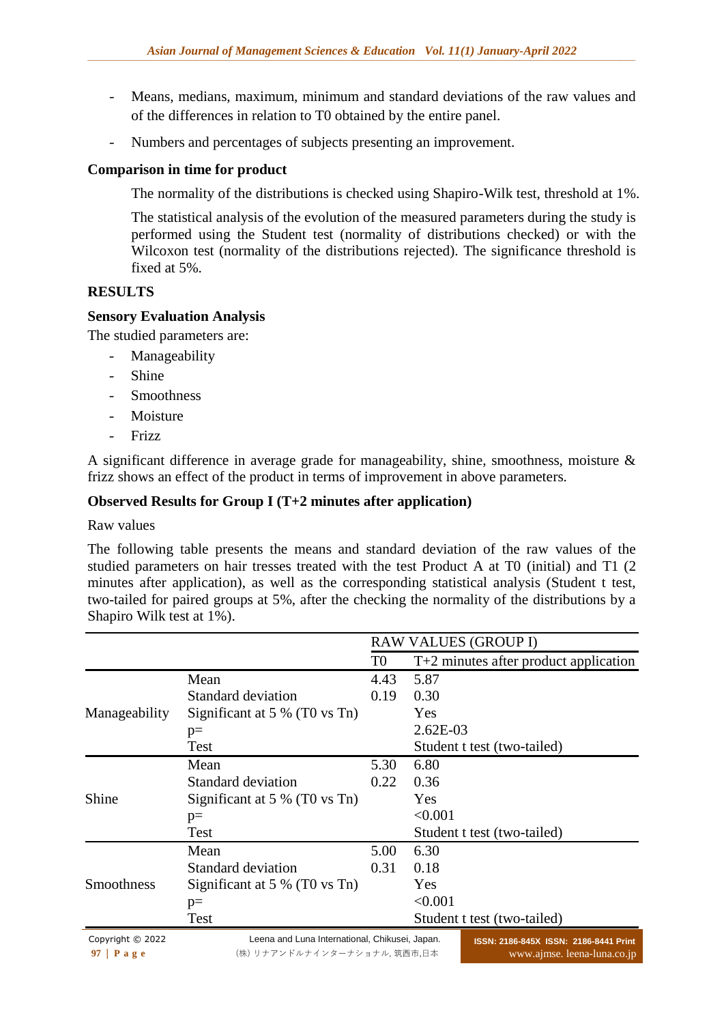- Means, medians, maximum, minimum and standard deviations of the raw values and of the differences in relation to T0 obtained by the entire panel.
- Numbers and percentages of subjects presenting an improvement.

## **Comparison in time for product**

The normality of the distributions is checked using Shapiro-Wilk test, threshold at 1%.

The statistical analysis of the evolution of the measured parameters during the study is performed using the Student test (normality of distributions checked) or with the Wilcoxon test (normality of the distributions rejected). The significance threshold is fixed at 5%.

## **RESULTS**

## **Sensory Evaluation Analysis**

The studied parameters are:

- **Manageability**
- Shine
- **Smoothness**
- **Moisture**
- Frizz

A significant difference in average grade for manageability, shine, smoothness, moisture & frizz shows an effect of the product in terms of improvement in above parameters.

## **Observed Results for Group I (T+2 minutes after application)**

Raw values

The following table presents the means and standard deviation of the raw values of the studied parameters on hair tresses treated with the test Product A at T0 (initial) and T1 (2 minutes after application), as well as the corresponding statistical analysis (Student t test, two-tailed for paired groups at 5%, after the checking the normality of the distributions by a Shapiro Wilk test at 1%).

|                  |                                                | <b>RAW VALUES (GROUP I)</b> |                                         |  |
|------------------|------------------------------------------------|-----------------------------|-----------------------------------------|--|
|                  |                                                | T <sub>0</sub>              | $T+2$ minutes after product application |  |
|                  | Mean                                           | 4.43                        | 5.87                                    |  |
|                  | Standard deviation                             | 0.19                        | 0.30                                    |  |
| Manageability    | Significant at $5\%$ (TO vs Tn)                |                             | Yes                                     |  |
|                  | $p=$                                           |                             | $2.62E-03$                              |  |
|                  | <b>Test</b>                                    |                             | Student t test (two-tailed)             |  |
|                  | Mean                                           | 5.30                        | 6.80                                    |  |
|                  | Standard deviation                             | 0.22                        | 0.36                                    |  |
| Shine            | Significant at 5 % (T0 vs Tn)                  |                             | Yes                                     |  |
|                  | $p=$                                           |                             | < 0.001                                 |  |
|                  | Test                                           |                             | Student t test (two-tailed)             |  |
|                  | Mean                                           | 5.00                        | 6.30                                    |  |
| Smoothness       | Standard deviation                             | 0.31                        | 0.18                                    |  |
|                  | Significant at 5 % (T0 vs Tn)                  |                             | Yes                                     |  |
|                  | $p=$                                           |                             | < 0.001                                 |  |
|                  | Test                                           |                             | Student t test (two-tailed)             |  |
| Copyright © 2022 | Leena and Luna International, Chikusei, Japan. |                             | ISSN: 2186-845X ISSN: 2186-8441 Print   |  |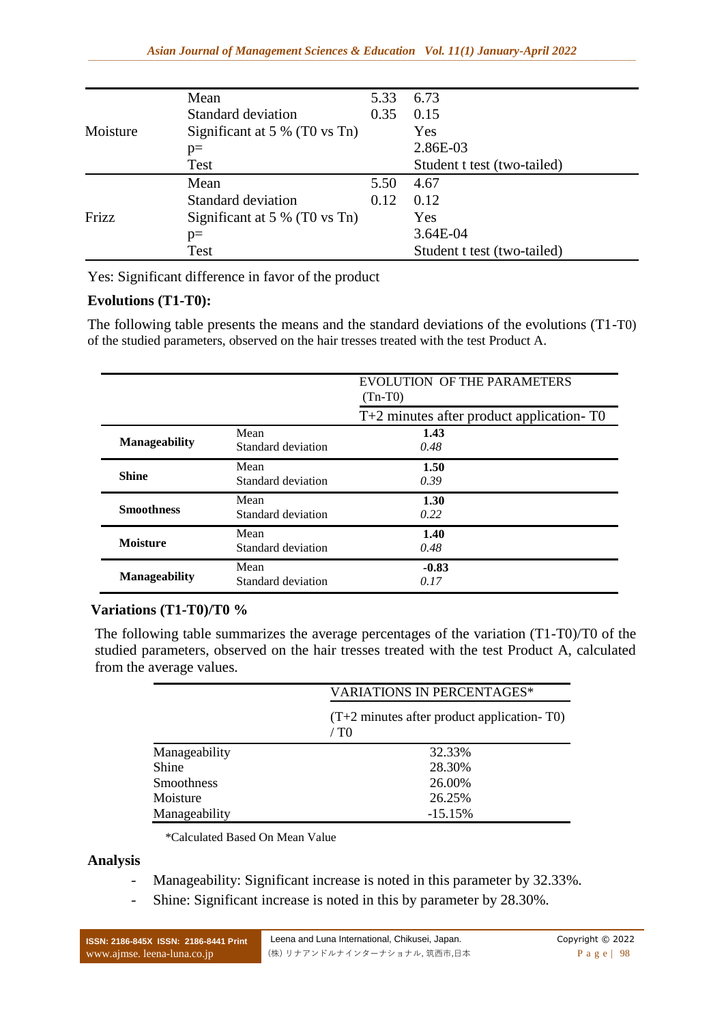|          | Mean                            | 5.33 | 6.73                        |
|----------|---------------------------------|------|-----------------------------|
|          | Standard deviation              | 0.35 | 0.15                        |
| Moisture | Significant at $5\%$ (TO vs Tn) |      | Yes                         |
|          | $p=$                            |      | 2.86E-03                    |
|          | Test                            |      | Student t test (two-tailed) |
|          | Mean                            | 5.50 | 4.67                        |
|          | <b>Standard deviation</b>       | 0.12 | 0.12                        |
| Frizz    | Significant at $5\%$ (TO vs Tn) |      | Yes                         |
|          | $p=$                            |      | 3.64E-04                    |
|          | Test                            |      | Student t test (two-tailed) |

Yes: Significant difference in favor of the product

#### **Evolutions (T1-T0):**

The following table presents the means and the standard deviations of the evolutions (T1-T0) of the studied parameters, observed on the hair tresses treated with the test Product A.

|                      |                            | EVOLUTION OF THE PARAMETERS<br>$(Tn-T0)$ |
|----------------------|----------------------------|------------------------------------------|
|                      |                            | T+2 minutes after product application-T0 |
| <b>Manageability</b> | Mean<br>Standard deviation | 1.43<br>0.48                             |
| <b>Shine</b>         | Mean<br>Standard deviation | 1.50<br>0.39                             |
| <b>Smoothness</b>    | Mean<br>Standard deviation | 1.30<br>0.22                             |
| <b>Moisture</b>      | Mean<br>Standard deviation | 1.40<br>0.48                             |
| <b>Manageability</b> | Mean<br>Standard deviation | $-0.83$<br>0.17                          |

## **Variations (T1-T0)/T0 %**

The following table summarizes the average percentages of the variation (T1-T0)/T0 of the studied parameters, observed on the hair tresses treated with the test Product A, calculated from the average values.

|                   | <b>VARIATIONS IN PERCENTAGES*</b>                     |  |
|-------------------|-------------------------------------------------------|--|
|                   | $(T+2)$ minutes after product application-T0)<br>/ T0 |  |
| Manageability     | 32.33%                                                |  |
| Shine             | 28.30%                                                |  |
| <b>Smoothness</b> | 26.00%                                                |  |
| Moisture          | 26.25%                                                |  |
| Manageability     | $-15.15%$                                             |  |

\*Calculated Based On Mean Value

#### **Analysis**

- Manageability: Significant increase is noted in this parameter by 32.33%.
- Shine: Significant increase is noted in this by parameter by 28.30%.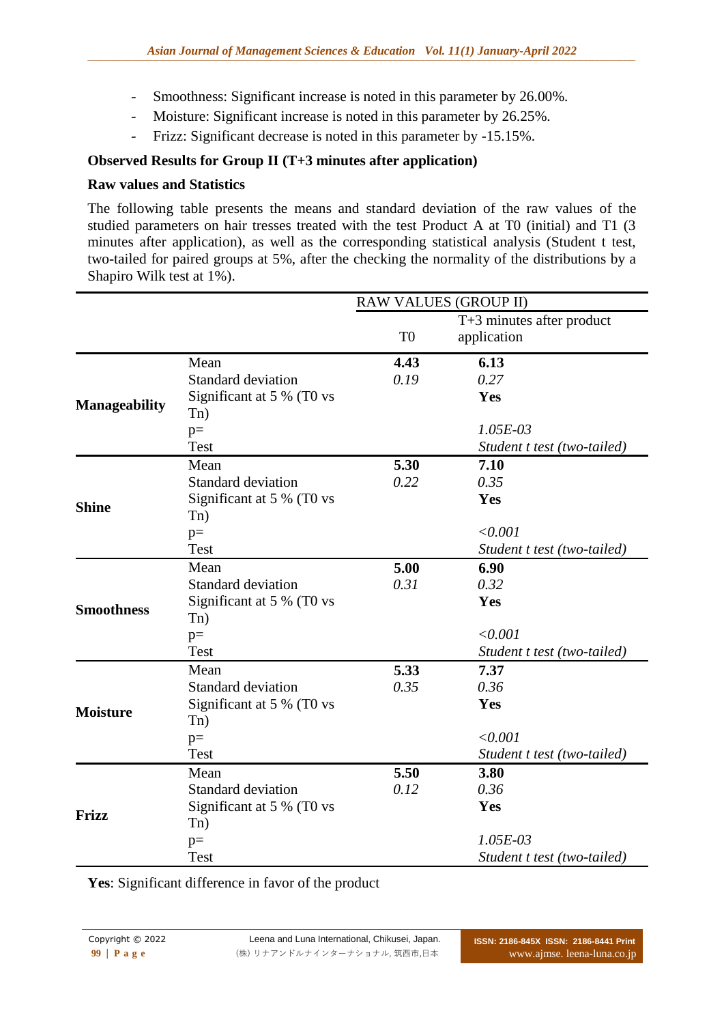- Smoothness: Significant increase is noted in this parameter by 26.00%.
- Moisture: Significant increase is noted in this parameter by 26.25%.
- Frizz: Significant decrease is noted in this parameter by -15.15%.

## **Observed Results for Group II (T+3 minutes after application)**

### **Raw values and Statistics**

The following table presents the means and standard deviation of the raw values of the studied parameters on hair tresses treated with the test Product A at T0 (initial) and T1 (3 minutes after application), as well as the corresponding statistical analysis (Student t test, two-tailed for paired groups at 5%, after the checking the normality of the distributions by a Shapiro Wilk test at 1%).

|                      |                           | <b>RAW VALUES (GROUP II)</b> |                             |  |
|----------------------|---------------------------|------------------------------|-----------------------------|--|
|                      |                           |                              | T+3 minutes after product   |  |
|                      |                           | T <sub>0</sub>               | application                 |  |
|                      | Mean                      | 4.43                         | 6.13                        |  |
| <b>Manageability</b> | <b>Standard deviation</b> | 0.19                         | 0.27                        |  |
|                      | Significant at 5 % (T0 vs |                              | Yes                         |  |
|                      | Tn)                       |                              |                             |  |
|                      | $p=$                      |                              | $1.05E - 03$                |  |
|                      | <b>Test</b>               |                              | Student t test (two-tailed) |  |
|                      | Mean                      | 5.30                         | 7.10                        |  |
|                      | <b>Standard deviation</b> | 0.22                         | 0.35                        |  |
| <b>Shine</b>         | Significant at 5 % (T0 vs |                              | Yes                         |  |
|                      | Tn)                       |                              |                             |  |
|                      | $p=$                      |                              | < 0.001                     |  |
|                      | Test                      |                              | Student t test (two-tailed) |  |
|                      | Mean                      | 5.00                         | 6.90                        |  |
|                      | <b>Standard deviation</b> | 0.31                         | 0.32                        |  |
| <b>Smoothness</b>    | Significant at 5 % (T0 vs |                              | Yes                         |  |
|                      | Tn)                       |                              |                             |  |
|                      | $p=$                      |                              | < 0.001                     |  |
|                      | Test                      |                              | Student t test (two-tailed) |  |
|                      | Mean                      | 5.33                         | 7.37                        |  |
|                      | <b>Standard deviation</b> | 0.35                         | 0.36                        |  |
| <b>Moisture</b>      | Significant at 5 % (T0 vs |                              | Yes                         |  |
|                      | Tn)                       |                              |                             |  |
|                      | $p=$                      |                              | < 0.001                     |  |
|                      | Test                      |                              | Student t test (two-tailed) |  |
| Frizz                | Mean                      | 5.50                         | 3.80                        |  |
|                      | <b>Standard deviation</b> | 0.12                         | 0.36                        |  |
|                      | Significant at 5 % (T0 vs |                              | Yes                         |  |
|                      | Tn)                       |                              |                             |  |
|                      | $p=$                      |                              | $1.05E - 03$                |  |
|                      | Test                      |                              | Student t test (two-tailed) |  |

**Yes**: Significant difference in favor of the product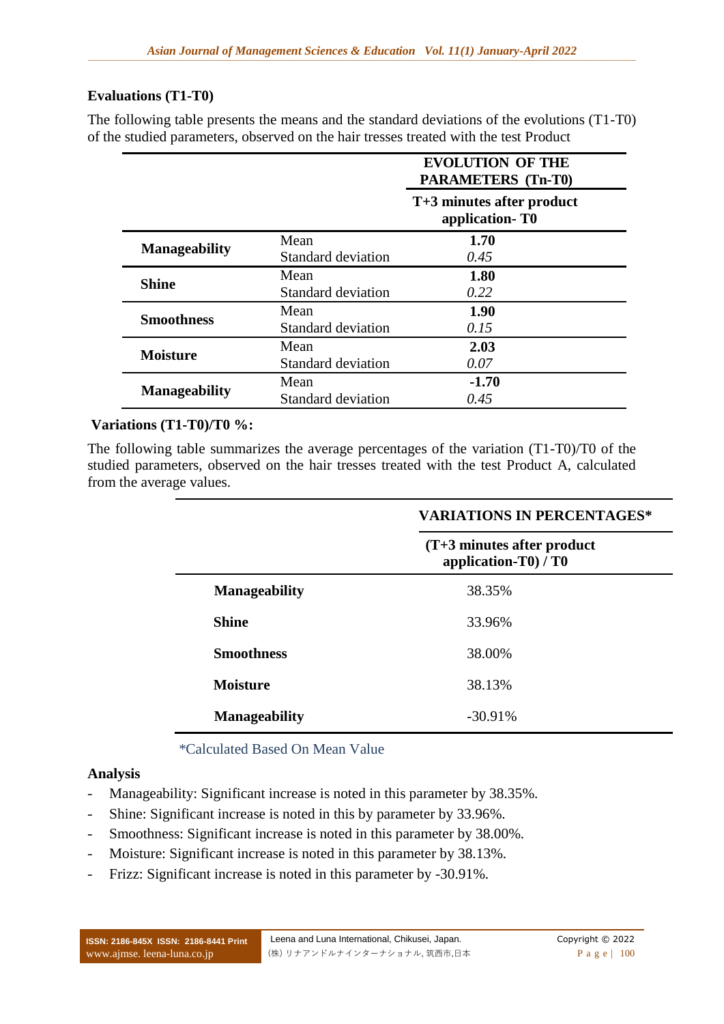## **Evaluations (T1-T0)**

The following table presents the means and the standard deviations of the evolutions (T1-T0) of the studied parameters, observed on the hair tresses treated with the test Product

|                      |                           | <b>EVOLUTION OF THE</b><br><b>PARAMETERS (Tn-T0)</b> |
|----------------------|---------------------------|------------------------------------------------------|
|                      |                           | T+3 minutes after product<br>application-T0          |
|                      | Mean                      | 1.70                                                 |
| <b>Manageability</b> | <b>Standard deviation</b> | 0.45                                                 |
| <b>Shine</b>         | Mean                      | 1.80                                                 |
|                      | Standard deviation        | 0.22                                                 |
| <b>Smoothness</b>    | Mean                      | 1.90                                                 |
|                      | Standard deviation        | 0.15                                                 |
|                      | Mean                      | 2.03                                                 |
| <b>Moisture</b>      | Standard deviation        | 0.07                                                 |
|                      | Mean                      | $-1.70$                                              |
| <b>Manageability</b> | Standard deviation        | 0.45                                                 |

#### **Variations (T1-T0)/T0 %:**

The following table summarizes the average percentages of the variation (T1-T0)/T0 of the studied parameters, observed on the hair tresses treated with the test Product A, calculated from the average values.

|                      | <b>VARIATIONS IN PERCENTAGES*</b>                    |  |
|----------------------|------------------------------------------------------|--|
|                      | $(T+3$ minutes after product<br>application-T0) / T0 |  |
| <b>Manageability</b> | 38.35%                                               |  |
| <b>Shine</b>         | 33.96%                                               |  |
| <b>Smoothness</b>    | 38.00%                                               |  |
| <b>Moisture</b>      | 38.13%                                               |  |
| <b>Manageability</b> | $-30.91\%$                                           |  |

## \*Calculated Based On Mean Value

#### **Analysis**

- Manageability: Significant increase is noted in this parameter by 38.35%.
- Shine: Significant increase is noted in this by parameter by 33.96%.
- Smoothness: Significant increase is noted in this parameter by 38.00%.
- Moisture: Significant increase is noted in this parameter by 38.13%.
- Frizz: Significant increase is noted in this parameter by -30.91%.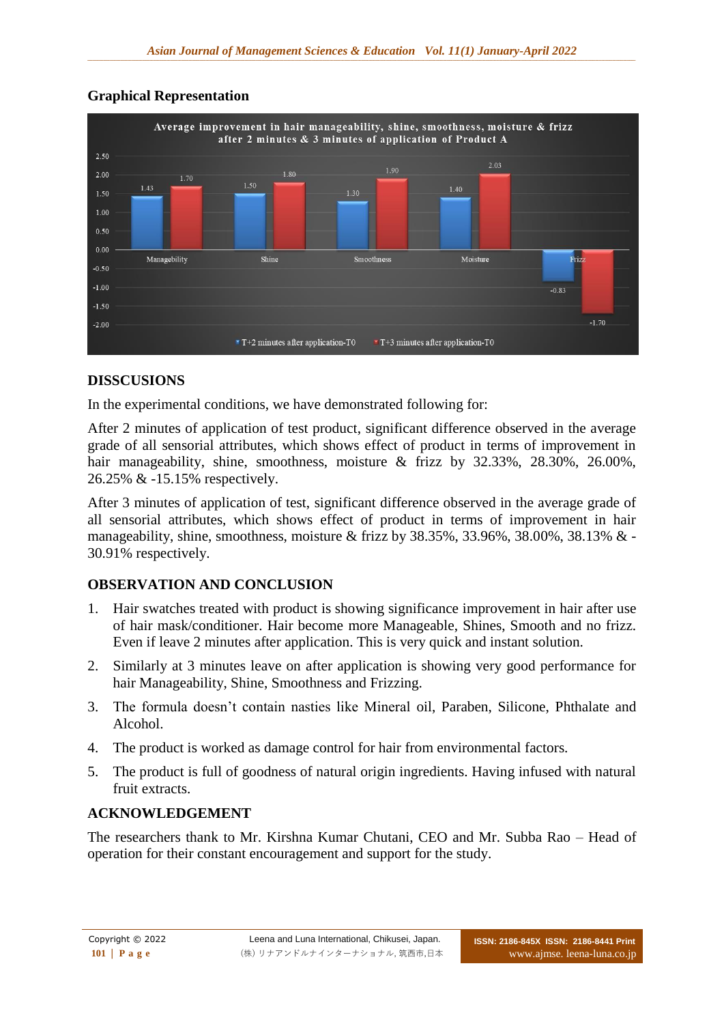

## **Graphical Representation**

## **DISSCUSIONS**

In the experimental conditions, we have demonstrated following for:

After 2 minutes of application of test product, significant difference observed in the average grade of all sensorial attributes, which shows effect of product in terms of improvement in hair manageability, shine, smoothness, moisture & frizz by 32.33%, 28.30%, 26.00%, 26.25% & -15.15% respectively.

After 3 minutes of application of test, significant difference observed in the average grade of all sensorial attributes, which shows effect of product in terms of improvement in hair manageability, shine, smoothness, moisture & frizz by 38.35%, 33.96%, 38.00%, 38.13% & - 30.91% respectively.

## **OBSERVATION AND CONCLUSION**

- 1. Hair swatches treated with product is showing significance improvement in hair after use of hair mask/conditioner. Hair become more Manageable, Shines, Smooth and no frizz. Even if leave 2 minutes after application. This is very quick and instant solution.
- 2. Similarly at 3 minutes leave on after application is showing very good performance for hair Manageability, Shine, Smoothness and Frizzing.
- 3. The formula doesn't contain nasties like Mineral oil, Paraben, Silicone, Phthalate and Alcohol.
- 4. The product is worked as damage control for hair from environmental factors.
- 5. The product is full of goodness of natural origin ingredients. Having infused with natural fruit extracts.

## **ACKNOWLEDGEMENT**

The researchers thank to Mr. Kirshna Kumar Chutani, CEO and Mr. Subba Rao – Head of operation for their constant encouragement and support for the study.